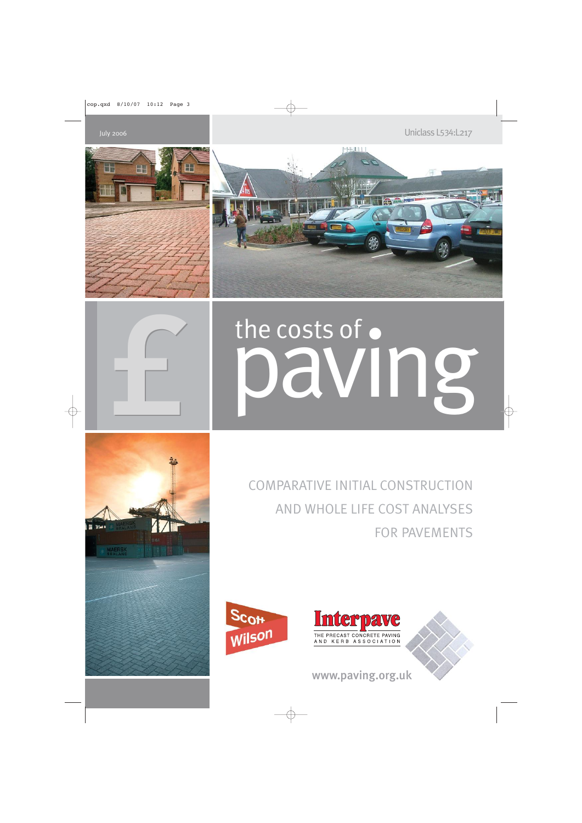July 2006 Uniclass L534:L217







# the costs of  $\bullet$ <br>DaVIng

COMPARATIVE INITIAL CONSTRUCTION AND WHOLE LIFE COST ANALYSES FOR PAVEMENTS







www.paving.org.uk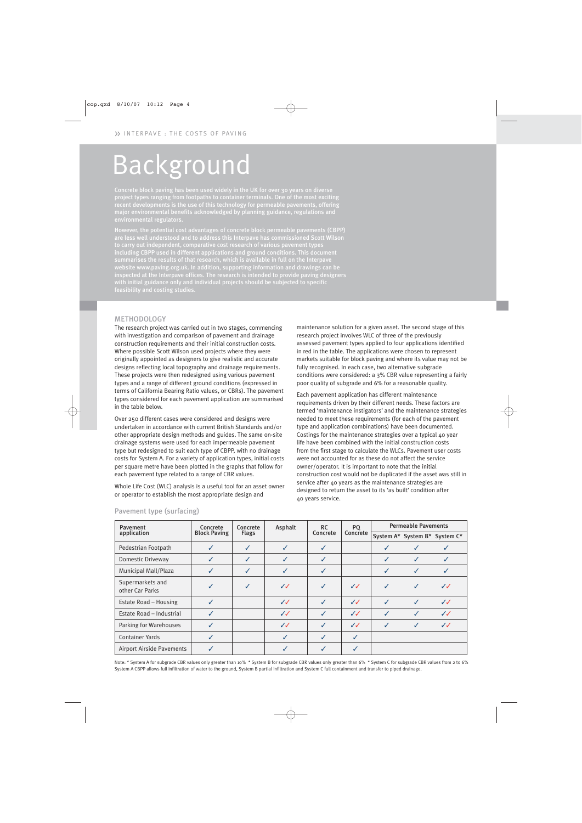# Background

Concrete block paving has been used widely in the UK for over 30 years on diverse project types ranging from footpaths to container terminals. One of the most exciting recent developments is the use of this technology for permeable pavements, offering major environmental benefits acknowledged by planning guidance, regulations and environmental regulators.

However, the potential cost advantages of concrete block permeable pavements (CBPP) website www.paving.org.uk. In addition, supporting information and drawings can be inspected at the Interpave offices. The research is intended to provide paving designers with initial guidance only and individual projects should be subjected to specific feasibility and costing studies.

### METHODOLOGY

The research project was carried out in two stages, commencing with investigation and comparison of pavement and drainage construction requirements and their initial construction costs. Where possible Scott Wilson used projects where they were originally appointed as designers to give realistic and accurate designs reflecting local topography and drainage requirements. These projects were then redesigned using various pavement types and a range of different ground conditions (expressed in terms of California Bearing Ratio values, or CBRs). The pavement types considered for each pavement application are summarised in the table below.

Over 250 different cases were considered and designs were undertaken in accordance with current British Standards and/or other appropriate design methods and guides. The same on-site drainage systems were used for each impermeable pavement type but redesigned to suit each type of CBPP, with no drainage costs for System A. For a variety of application types, initial costs per square metre have been plotted in the graphs that follow for each pavement type related to a range of CBR values.

Whole Life Cost (WLC) analysis is a useful tool for an asset owner or operator to establish the most appropriate design and

maintenance solution for a given asset. The second stage of this research project involves WLC of three of the previously assessed pavement types applied to four applications identified in red in the table. The applications were chosen to represent markets suitable for block paving and where its value may not be fully recognised. In each case, two alternative subgrade conditions were considered: a 3% CBR value representing a fairly poor quality of subgrade and 6% for a reasonable quality.

Each pavement application has different maintenance requirements driven by their different needs. These factors are termed 'maintenance instigators' and the maintenance strategies needed to meet these requirements (for each of the pavement type and application combinations) have been documented. Costings for the maintenance strategies over a typical 40 year life have been combined with the initial construction costs from the first stage to calculate the WLCs. Pavement user costs were not accounted for as these do not affect the service owner/operator. It is important to note that the initial construction cost would not be duplicated if the asset was still in service after 40 years as the maintenance strategies are designed to return the asset to its 'as built' condition after 40 years service.

| Pavement<br>application             | Concrete<br><b>Block Paving</b> | Concrete<br><b>Flags</b> | Asphalt      | <b>RC</b><br>Concrete | <b>PQ</b><br>Concrete | <b>Permeable Pavements</b> |                               |              |
|-------------------------------------|---------------------------------|--------------------------|--------------|-----------------------|-----------------------|----------------------------|-------------------------------|--------------|
|                                     |                                 |                          |              |                       |                       |                            | System A* System B* System C* |              |
| Pedestrian Footpath                 | ✓                               |                          |              |                       |                       |                            |                               |              |
| Domestic Driveway                   | ✓                               |                          |              |                       |                       |                            | ✓                             |              |
| <b>Municipal Mall/Plaza</b>         | $\checkmark$                    |                          |              |                       |                       | ✓                          | ✓                             |              |
| Supermarkets and<br>other Car Parks | ✓                               |                          | $\checkmark$ | ✓                     | $\checkmark$          |                            | ✓                             | $\checkmark$ |
| Estate Road - Housing               | $\checkmark$                    |                          | $\checkmark$ |                       | $\checkmark$          |                            | ✓                             | $\checkmark$ |
| Estate Road - Industrial            | ✓                               |                          | $\checkmark$ | ✓                     | $\checkmark$          | J                          | ✓                             | $\checkmark$ |
| Parking for Warehouses              | ✓                               |                          | $\checkmark$ | ✓                     | $\checkmark$          | ✓                          | ✓                             | $\checkmark$ |
| <b>Container Yards</b>              | ✓                               |                          |              |                       |                       |                            |                               |              |
| <b>Airport Airside Pavements</b>    | ✓                               |                          |              |                       |                       |                            |                               |              |

### Pavement type (surfacing)

Note: \* System A for subgrade CBR values only greater than 10% \* System B for subgrade CBR values only greater than 6% \* System C for subgrade CBR values from 2 to 6% System A CBPP allows full infiltration of water to the ground, System B partial infiltration and System C full containment and transfer to piped drainage.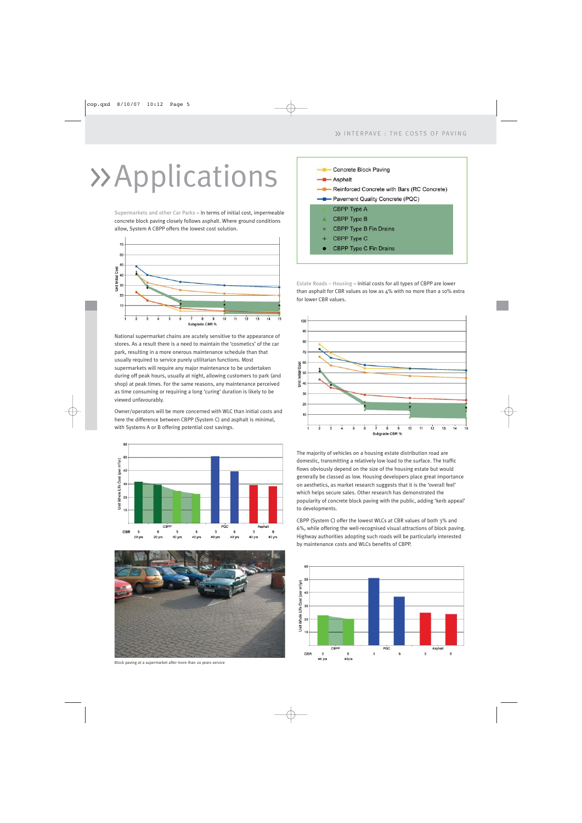# **>>Applications**

Supermarkets and other Car Parks – In terms of initial cost, impermeable concrete block paving closely follows asphalt. Where ground conditions allow, System A CBPP offers the lowest cost solution.



National supermarket chains are acutely sensitive to the appearance of stores. As a result there is a need to maintain the 'cosmetics' of the car park, resulting in a more onerous maintenance schedule than that usually required to service purely utilitarian functions. Most supermarkets will require any major maintenance to be undertaken during off peak hours, usually at night, allowing customers to park (and shop) at peak times. For the same reasons, any maintenance perceived as time consuming or requiring a long 'curing' duration is likely to be viewed unfavourably.

Owner/operators will be more concerned with WLC than initial costs and here the difference between CBPP (System C) and asphalt is minimal, with Systems A or B offering potential cost savings.





Block paving at a supermarket after more than 20 years service

|   | - Concrete Block Paving                       |
|---|-----------------------------------------------|
|   | - Asphalt                                     |
|   | - Reinforced Concrete with Bars (RC Concrete) |
|   |                                               |
|   | <b>CBPP Type A</b>                            |
| л | <b>CBPP Type B</b>                            |
| × | <b>CBPP Type B Fin Drains</b>                 |
|   | + CBPP Type C                                 |
|   | <b>CBPP Type C Fin Drains</b>                 |

Estate Roads – Housing – Initial costs for all types of CBPP are lower than asphalt for CBR values as low as 4% with no more than a 10% extra for lower CBR values.



The majority of vehicles on a housing estate distribution road are domestic, transmitting a relatively low load to the surface. The traffic flows obviously depend on the size of the housing estate but would generally be classed as low. Housing developers place great importance on aesthetics, as market research suggests that it is the 'overall feel' which helps secure sales. Other research has demonstrated the popularity of concrete block paving with the public, adding 'kerb appeal' to developments.

CBPP (System C) offer the lowest WLCs at CBR values of both 3% and 6%, while offering the well-recognised visual attractions of block paving. Highway authorities adopting such roads will be particularly interested by maintenance costs and WLCs benefits of CBPP.

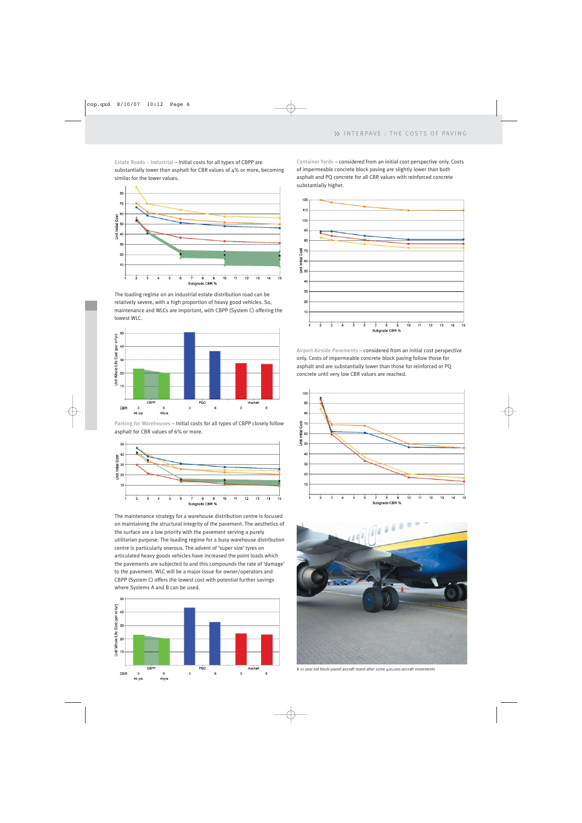Estate Roads – Industrial – Initial costs for all types of CBPP are substantially lower than asphalt for CBR values of 4% or more, becoming similar for the lower values.



The loading regime on an industrial estate distribution road can be relatively severe, with a high proportion of heavy good vehicles. So, maintenance and WLCs are important, with CBPP (System C) offering the lowest WLC.



Parking for Warehouses – Initial costs for all types of CBPP closely follow asphalt for CBR values of 6% or more.



The maintenance strategy for a warehouse distribution centre is focused on maintaining the structural integrity of the pavement. The aesthetics of the surface are a low priority with the pavement serving a purely utilitarian purpose. The loading regime for a busy warehouse distribution centre is particularly onerous. The advent of 'super size' tyres on articulated heavy goods vehicles have increased the point loads which the pavements are subjected to and this compounds the rate of 'damage' to the pavement. WLC will be a major issue for owner/operators and CBPP (System C) offers the lowest cost with potential further savings where Systems A and B can be used.



Container Yards – considered from an initial cost perspective only. Costs of impermeable concrete block paving are slightly lower than both asphalt and PQ concrete for all CBR values with reinforced concrete substantially higher.



Airport Airside Pavements – considered from an initial cost perspective only. Costs of impermeable concrete block paving follow those for asphalt and are substantially lower than those for reinforced or PQ concrete until very low CBR values are reached.





A 21 year old block-paved aircraft stand after some 400,000 aircraft movements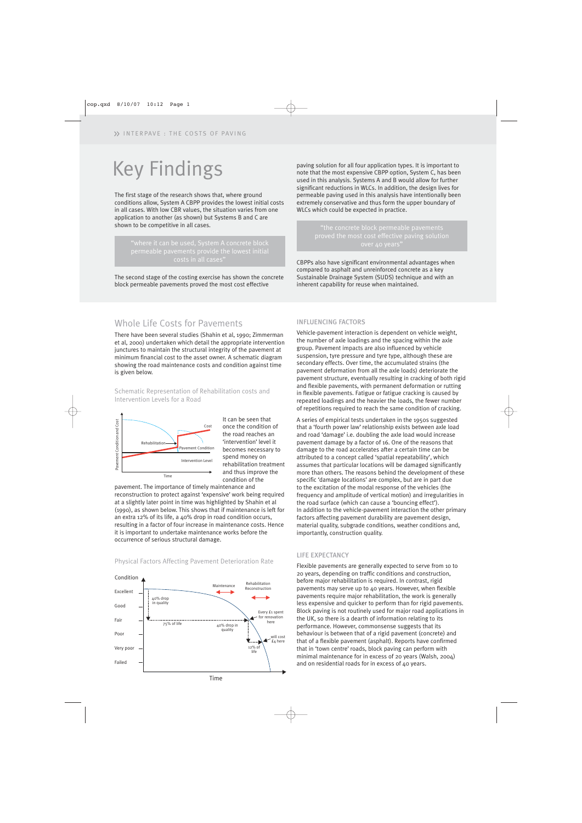# Key Findings

The first stage of the research shows that, where ground conditions allow, System A CBPP provides the lowest initial costs in all cases. With low CBR values, the situation varies from one application to another (as shown) but Systems B and C are shown to be competitive in all cases.

"where it can be used, System A concrete block and the state over 40 years'

The second stage of the costing exercise has shown the concrete block permeable pavements proved the most cost effective

paving solution for all four application types. It is important to note that the most expensive CBPP option, System C, has been used in this analysis. Systems A and B would allow for further significant reductions in WLCs. In addition, the design lives for permeable paving used in this analysis have intentionally been extremely conservative and thus form the upper boundary of WLCs which could be expected in practice.

CBPPs also have significant environmental advantages when compared to asphalt and unreinforced concrete as a key Sustainable Drainage System (SUDS) technique and with an inherent capability for reuse when maintained.

# Whole Life Costs for Pavements

There have been several studies (Shahin et al, 1990; Zimmerman et al, 2000) undertaken which detail the appropriate intervention junctures to maintain the structural integrity of the pavement at minimum financial cost to the asset owner. A schematic diagram showing the road maintenance costs and condition against time is given below.

Schematic Representation of Rehabilitation costs and Intervention Levels for a Road



It can be seen that once the condition of the road reaches an 'intervention' level it becomes necessary to spend money on rehabilitation treatment and thus improve the condition of the

pavement. The importance of timely maintenance and reconstruction to protect against 'expensive' work being required at a slightly later point in time was highlighted by Shahin et al (1990), as shown below. This shows that if maintenance is left for an extra 12% of its life, a 40% drop in road condition occurs, resulting in a factor of four increase in maintenance costs. Hence it is important to undertake maintenance works before the occurrence of serious structural damage.

Physical Factors Affecting Pavement Deterioration Rate



## INFLUENCING FACTORS

Vehicle-pavement interaction is dependent on vehicle weight, the number of axle loadings and the spacing within the axle group. Pavement impacts are also influenced by vehicle suspension, tyre pressure and tyre type, although these are secondary effects. Over time, the accumulated strains (the pavement deformation from all the axle loads) deteriorate the pavement structure, eventually resulting in cracking of both rigid and flexible pavements, with permanent deformation or rutting in flexible pavements. Fatigue or fatigue cracking is caused by repeated loadings and the heavier the loads, the fewer number of repetitions required to reach the same condition of cracking.

A series of empirical tests undertaken in the 1950s suggested that a 'fourth power law' relationship exists between axle load and road 'damage' i.e. doubling the axle load would increase pavement damage by a factor of 16. One of the reasons that damage to the road accelerates after a certain time can be attributed to a concept called 'spatial repeatability', which assumes that particular locations will be damaged significantly more than others. The reasons behind the development of these specific 'damage locations' are complex, but are in part due to the excitation of the modal response of the vehicles (the frequency and amplitude of vertical motion) and irregularities in the road surface (which can cause a 'bouncing effect'). In addition to the vehicle-pavement interaction the other primary factors affecting pavement durability are pavement design, material quality, subgrade conditions, weather conditions and, importantly, construction quality.

# LIFE EXPECTANCY

Flexible pavements are generally expected to serve from 10 to 20 years, depending on traffic conditions and construction, before major rehabilitation is required. In contrast, rigid pavements may serve up to 40 years. However, when flexible pavements require major rehabilitation, the work is generally less expensive and quicker to perform than for rigid pavements. Block paving is not routinely used for major road applications in the UK, so there is a dearth of information relating to its performance. However, commonsense suggests that its behaviour is between that of a rigid pavement (concrete) and that of a flexible pavement (asphalt). Reports have confirmed that in 'town centre' roads, block paving can perform with minimal maintenance for in excess of 20 years (Walsh, 2004) and on residential roads for in excess of 40 years.